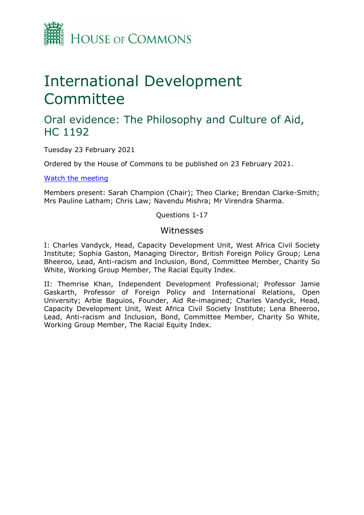

# International Development Committee

## Oral evidence: The Philosophy and Culture of Aid, HC 1192

Tuesday 23 February 2021

Ordered by the House of Commons to be published on 23 February 2021.

[Watch](https://parliamentlive.tv/Event/Index/73332b99-5d07-40b0-abc0-61d24993872a) [the](https://parliamentlive.tv/Event/Index/73332b99-5d07-40b0-abc0-61d24993872a) [meeting](https://parliamentlive.tv/Event/Index/73332b99-5d07-40b0-abc0-61d24993872a)

Members present: Sarah Champion (Chair); Theo Clarke; Brendan Clarke-Smith; Mrs Pauline Latham; Chris Law; Navendu Mishra; Mr Virendra Sharma.

Questions 1-17

#### Witnesses

I: Charles Vandyck, Head, Capacity Development Unit, West Africa Civil Society Institute; Sophia Gaston, Managing Director, British Foreign Policy Group; Lena Bheeroo, Lead, Anti-racism and Inclusion, Bond, Committee Member, Charity So White, Working Group Member, The Racial Equity Index.

II: Themrise Khan, Independent Development Professional; Professor Jamie Gaskarth, Professor of Foreign Policy and International Relations, Open University; Arbie Baguios, Founder, Aid Re-imagined; Charles Vandyck, Head, Capacity Development Unit, West Africa Civil Society Institute; Lena Bheeroo, Lead, Anti-racism and Inclusion, Bond, Committee Member, Charity So White, Working Group Member, The Racial Equity Index.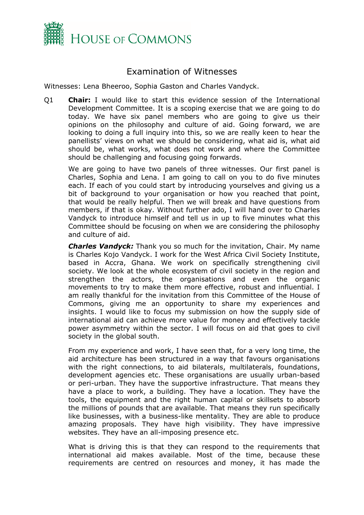

### Examination of Witnesses

Witnesses: Lena Bheeroo, Sophia Gaston and Charles Vandyck.

Q1 **Chair:** I would like to start this evidence session of the International Development Committee. It is a scoping exercise that we are going to do today. We have six panel members who are going to give us their opinions on the philosophy and culture of aid. Going forward, we are looking to doing a full inquiry into this, so we are really keen to hear the panellists' views on what we should be considering, what aid is, what aid should be, what works, what does not work and where the Committee should be challenging and focusing going forwards.

We are going to have two panels of three witnesses. Our first panel is Charles, Sophia and Lena. I am going to call on you to do five minutes each. If each of you could start by introducing yourselves and giving us a bit of background to your organisation or how you reached that point, that would be really helpful. Then we will break and have questions from members, if that is okay. Without further ado, I will hand over to Charles Vandyck to introduce himself and tell us in up to five minutes what this Committee should be focusing on when we are considering the philosophy and culture of aid.

*Charles Vandyck:* Thank you so much for the invitation, Chair. My name is Charles Kojo Vandyck. I work for the West Africa Civil Society Institute, based in Accra, Ghana. We work on specifically strengthening civil society. We look at the whole ecosystem of civil society in the region and strengthen the actors, the organisations and even the organic movements to try to make them more effective, robust and influential. I am really thankful for the invitation from this Committee of the House of Commons, giving me an opportunity to share my experiences and insights. I would like to focus my submission on how the supply side of international aid can achieve more value for money and effectively tackle power asymmetry within the sector. I will focus on aid that goes to civil society in the global south.

From my experience and work, I have seen that, for a very long time, the aid architecture has been structured in a way that favours organisations with the right connections, to aid bilaterals, multilaterals, foundations, development agencies etc. These organisations are usually urban-based or peri-urban. They have the supportive infrastructure. That means they have a place to work, a building. They have a location. They have the tools, the equipment and the right human capital or skillsets to absorb the millions of pounds that are available. That means they run specifically like businesses, with a business-like mentality. They are able to produce amazing proposals. They have high visibility. They have impressive websites. They have an all-imposing presence etc.

What is driving this is that they can respond to the requirements that international aid makes available. Most of the time, because these requirements are centred on resources and money, it has made the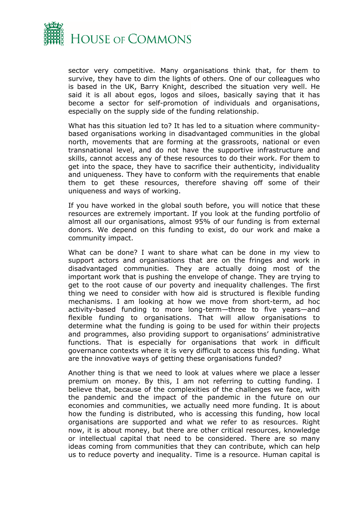

sector very competitive. Many organisations think that, for them to survive, they have to dim the lights of others. One of our colleagues who is based in the UK, Barry Knight, described the situation very well. He said it is all about egos, logos and siloes, basically saying that it has become a sector for self-promotion of individuals and organisations, especially on the supply side of the funding relationship.

What has this situation led to? It has led to a situation where communitybased organisations working in disadvantaged communities in the global north, movements that are forming at the grassroots, national or even transnational level, and do not have the supportive infrastructure and skills, cannot access any of these resources to do their work. For them to get into the space, they have to sacrifice their authenticity, individuality and uniqueness. They have to conform with the requirements that enable them to get these resources, therefore shaving off some of their uniqueness and ways of working.

If you have worked in the global south before, you will notice that these resources are extremely important. If you look at the funding portfolio of almost all our organisations, almost 95% of our funding is from external donors. We depend on this funding to exist, do our work and make a community impact.

What can be done? I want to share what can be done in my view to support actors and organisations that are on the fringes and work in disadvantaged communities. They are actually doing most of the important work that is pushing the envelope of change. They are trying to get to the root cause of our poverty and inequality challenges. The first thing we need to consider with how aid is structured is flexible funding mechanisms. I am looking at how we move from short-term, ad hoc activity-based funding to more long-term—three to five years—and flexible funding to organisations. That will allow organisations to determine what the funding is going to be used for within their projects and programmes, also providing support to organisations' administrative functions. That is especially for organisations that work in difficult governance contexts where it is very difficult to access this funding. What are the innovative ways of getting these organisations funded?

Another thing is that we need to look at values where we place a lesser premium on money. By this, I am not referring to cutting funding. I believe that, because of the complexities of the challenges we face, with the pandemic and the impact of the pandemic in the future on our economies and communities, we actually need more funding. It is about how the funding is distributed, who is accessing this funding, how local organisations are supported and what we refer to as resources. Right now, it is about money, but there are other critical resources, knowledge or intellectual capital that need to be considered. There are so many ideas coming from communities that they can contribute, which can help us to reduce poverty and inequality. Time is a resource. Human capital is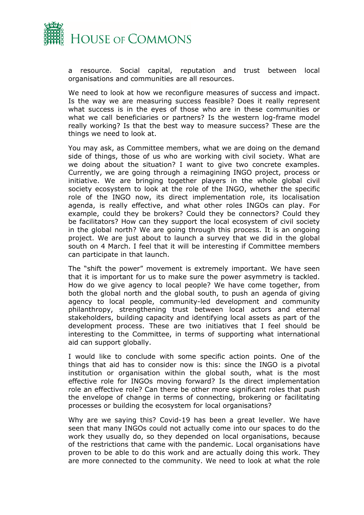

a resource. Social capital, reputation and trust between local organisations and communities are all resources.

We need to look at how we reconfigure measures of success and impact. Is the way we are measuring success feasible? Does it really represent what success is in the eyes of those who are in these communities or what we call beneficiaries or partners? Is the western log-frame model really working? Is that the best way to measure success? These are the things we need to look at.

You may ask, as Committee members, what we are doing on the demand side of things, those of us who are working with civil society. What are we doing about the situation? I want to give two concrete examples. Currently, we are going through a reimagining INGO project, process or initiative. We are bringing together players in the whole global civil society ecosystem to look at the role of the INGO, whether the specific role of the INGO now, its direct implementation role, its localisation agenda, is really effective, and what other roles INGOs can play. For example, could they be brokers? Could they be connectors? Could they be facilitators? How can they support the local ecosystem of civil society in the global north? We are going through this process. It is an ongoing project. We are just about to launch a survey that we did in the global south on 4 March. I feel that it will be interesting if Committee members can participate in that launch.

The "shift the power" movement is extremely important. We have seen that it is important for us to make sure the power asymmetry is tackled. How do we give agency to local people? We have come together, from both the global north and the global south, to push an agenda of giving agency to local people, community-led development and community philanthropy, strengthening trust between local actors and eternal stakeholders, building capacity and identifying local assets as part of the development process. These are two initiatives that I feel should be interesting to the Committee, in terms of supporting what international aid can support globally.

I would like to conclude with some specific action points. One of the things that aid has to consider now is this: since the INGO is a pivotal institution or organisation within the global south, what is the most effective role for INGOs moving forward? Is the direct implementation role an effective role? Can there be other more significant roles that push the envelope of change in terms of connecting, brokering or facilitating processes or building the ecosystem for local organisations?

Why are we saying this? Covid-19 has been a great leveller. We have seen that many INGOs could not actually come into our spaces to do the work they usually do, so they depended on local organisations, because of the restrictions that came with the pandemic. Local organisations have proven to be able to do this work and are actually doing this work. They are more connected to the community. We need to look at what the role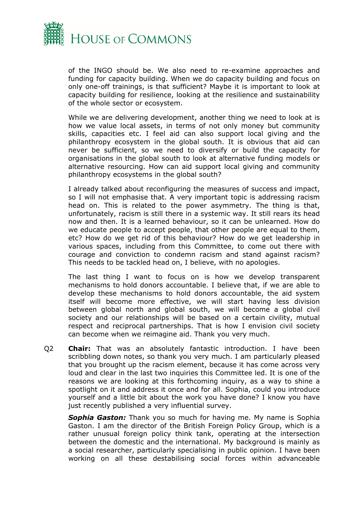

of the INGO should be. We also need to re-examine approaches and funding for capacity building. When we do capacity building and focus on only one-off trainings, is that sufficient? Maybe it is important to look at capacity building for resilience, looking at the resilience and sustainability of the whole sector or ecosystem.

While we are delivering development, another thing we need to look at is how we value local assets, in terms of not only money but community skills, capacities etc. I feel aid can also support local giving and the philanthropy ecosystem in the global south. It is obvious that aid can never be sufficient, so we need to diversify or build the capacity for organisations in the global south to look at alternative funding models or alternative resourcing. How can aid support local giving and community philanthropy ecosystems in the global south?

I already talked about reconfiguring the measures of success and impact, so I will not emphasise that. A very important topic is addressing racism head on. This is related to the power asymmetry. The thing is that, unfortunately, racism is still there in a systemic way. It still rears its head now and then. It is a learned behaviour, so it can be unlearned. How do we educate people to accept people, that other people are equal to them, etc? How do we get rid of this behaviour? How do we get leadership in various spaces, including from this Committee, to come out there with courage and conviction to condemn racism and stand against racism? This needs to be tackled head on, I believe, with no apologies.

The last thing I want to focus on is how we develop transparent mechanisms to hold donors accountable. I believe that, if we are able to develop these mechanisms to hold donors accountable, the aid system itself will become more effective, we will start having less division between global north and global south, we will become a global civil society and our relationships will be based on a certain civility, mutual respect and reciprocal partnerships. That is how I envision civil society can become when we reimagine aid. Thank you very much.

Q2 **Chair:** That was an absolutely fantastic introduction. I have been scribbling down notes, so thank you very much. I am particularly pleased that you brought up the racism element, because it has come across very loud and clear in the last two inquiries this Committee led. It is one of the reasons we are looking at this forthcoming inquiry, as a way to shine a spotlight on it and address it once and for all. Sophia, could you introduce yourself and a little bit about the work you have done? I know you have just recently published a very influential survey.

*Sophia Gaston:* Thank you so much for having me. My name is Sophia Gaston. I am the director of the British Foreign Policy Group, which is a rather unusual foreign policy think tank, operating at the intersection between the domestic and the international. My background is mainly as a social researcher, particularly specialising in public opinion. I have been working on all these destabilising social forces within advanceable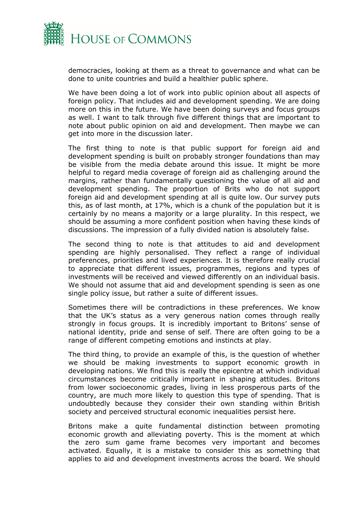

democracies, looking at them as a threat to governance and what can be done to unite countries and build a healthier public sphere.

We have been doing a lot of work into public opinion about all aspects of foreign policy. That includes aid and development spending. We are doing more on this in the future. We have been doing surveys and focus groups as well. I want to talk through five different things that are important to note about public opinion on aid and development. Then maybe we can get into more in the discussion later.

The first thing to note is that public support for foreign aid and development spending is built on probably stronger foundations than may be visible from the media debate around this issue. It might be more helpful to regard media coverage of foreign aid as challenging around the margins, rather than fundamentally questioning the value of all aid and development spending. The proportion of Brits who do not support foreign aid and development spending at all is quite low. Our survey puts this, as of last month, at 17%, which is a chunk of the population but it is certainly by no means a majority or a large plurality. In this respect, we should be assuming a more confident position when having these kinds of discussions. The impression of a fully divided nation is absolutely false.

The second thing to note is that attitudes to aid and development spending are highly personalised. They reflect a range of individual preferences, priorities and lived experiences. It is therefore really crucial to appreciate that different issues, programmes, regions and types of investments will be received and viewed differently on an individual basis. We should not assume that aid and development spending is seen as one single policy issue, but rather a suite of different issues.

Sometimes there will be contradictions in these preferences. We know that the UK's status as a very generous nation comes through really strongly in focus groups. It is incredibly important to Britons' sense of national identity, pride and sense of self. There are often going to be a range of different competing emotions and instincts at play.

The third thing, to provide an example of this, is the question of whether we should be making investments to support economic growth in developing nations. We find this is really the epicentre at which individual circumstances become critically important in shaping attitudes. Britons from lower socioeconomic grades, living in less prosperous parts of the country, are much more likely to question this type of spending. That is undoubtedly because they consider their own standing within British society and perceived structural economic inequalities persist here.

Britons make a quite fundamental distinction between promoting economic growth and alleviating poverty. This is the moment at which the zero sum game frame becomes very important and becomes activated. Equally, it is a mistake to consider this as something that applies to aid and development investments across the board. We should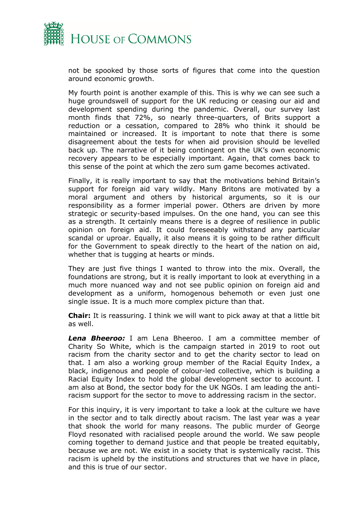

not be spooked by those sorts of figures that come into the question around economic growth.

My fourth point is another example of this. This is why we can see such a huge groundswell of support for the UK reducing or ceasing our aid and development spending during the pandemic. Overall, our survey last month finds that 72%, so nearly three-quarters, of Brits support a reduction or a cessation, compared to 28% who think it should be maintained or increased. It is important to note that there is some disagreement about the tests for when aid provision should be levelled back up. The narrative of it being contingent on the UK's own economic recovery appears to be especially important. Again, that comes back to this sense of the point at which the zero sum game becomes activated.

Finally, it is really important to say that the motivations behind Britain's support for foreign aid vary wildly. Many Britons are motivated by a moral argument and others by historical arguments, so it is our responsibility as a former imperial power. Others are driven by more strategic or security-based impulses. On the one hand, you can see this as a strength. It certainly means there is a degree of resilience in public opinion on foreign aid. It could foreseeably withstand any particular scandal or uproar. Equally, it also means it is going to be rather difficult for the Government to speak directly to the heart of the nation on aid, whether that is tugging at hearts or minds.

They are just five things I wanted to throw into the mix. Overall, the foundations are strong, but it is really important to look at everything in a much more nuanced way and not see public opinion on foreign aid and development as a uniform, homogenous behemoth or even just one single issue. It is a much more complex picture than that.

**Chair:** It is reassuring. I think we will want to pick away at that a little bit as well.

*Lena Bheeroo:* I am Lena Bheeroo. I am a committee member of Charity So White, which is the campaign started in 2019 to root out racism from the charity sector and to get the charity sector to lead on that. I am also a working group member of the Racial Equity Index, a black, indigenous and people of colour-led collective, which is building a Racial Equity Index to hold the global development sector to account. I am also at Bond, the sector body for the UK NGOs. I am leading the antiracism support for the sector to move to addressing racism in the sector.

For this inquiry, it is very important to take a look at the culture we have in the sector and to talk directly about racism. The last year was a year that shook the world for many reasons. The public murder of George Floyd resonated with racialised people around the world. We saw people coming together to demand justice and that people be treated equitably, because we are not. We exist in a society that is systemically racist. This racism is upheld by the institutions and structures that we have in place, and this is true of our sector.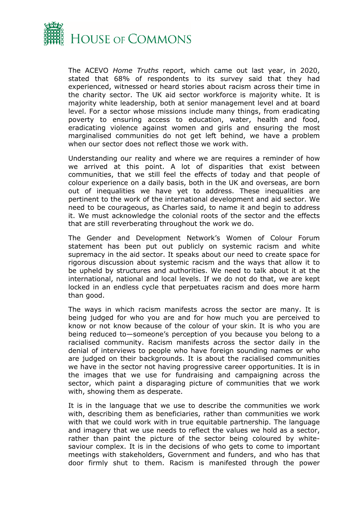

The ACEVO *Home Truths* report, which came out last year, in 2020, stated that 68% of respondents to its survey said that they had experienced, witnessed or heard stories about racism across their time in the charity sector. The UK aid sector workforce is majority white. It is majority white leadership, both at senior management level and at board level. For a sector whose missions include many things, from eradicating poverty to ensuring access to education, water, health and food, eradicating violence against women and girls and ensuring the most marginalised communities do not get left behind, we have a problem when our sector does not reflect those we work with.

Understanding our reality and where we are requires a reminder of how we arrived at this point. A lot of disparities that exist between communities, that we still feel the effects of today and that people of colour experience on a daily basis, both in the UK and overseas, are born out of inequalities we have yet to address. These inequalities are pertinent to the work of the international development and aid sector. We need to be courageous, as Charles said, to name it and begin to address it. We must acknowledge the colonial roots of the sector and the effects that are still reverberating throughout the work we do.

The Gender and Development Network's Women of Colour Forum statement has been put out publicly on systemic racism and white supremacy in the aid sector. It speaks about our need to create space for rigorous discussion about systemic racism and the ways that allow it to be upheld by structures and authorities. We need to talk about it at the international, national and local levels. If we do not do that, we are kept locked in an endless cycle that perpetuates racism and does more harm than good.

The ways in which racism manifests across the sector are many. It is being judged for who you are and for how much you are perceived to know or not know because of the colour of your skin. It is who you are being reduced to—someone's perception of you because you belong to a racialised community. Racism manifests across the sector daily in the denial of interviews to people who have foreign sounding names or who are judged on their backgrounds. It is about the racialised communities we have in the sector not having progressive career opportunities. It is in the images that we use for fundraising and campaigning across the sector, which paint a disparaging picture of communities that we work with, showing them as desperate.

It is in the language that we use to describe the communities we work with, describing them as beneficiaries, rather than communities we work with that we could work with in true equitable partnership. The language and imagery that we use needs to reflect the values we hold as a sector, rather than paint the picture of the sector being coloured by whitesaviour complex. It is in the decisions of who gets to come to important meetings with stakeholders, Government and funders, and who has that door firmly shut to them. Racism is manifested through the power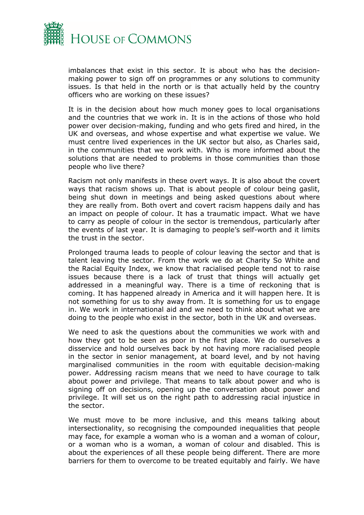

imbalances that exist in this sector. It is about who has the decisionmaking power to sign off on programmes or any solutions to community issues. Is that held in the north or is that actually held by the country officers who are working on these issues?

It is in the decision about how much money goes to local organisations and the countries that we work in. It is in the actions of those who hold power over decision-making, funding and who gets fired and hired, in the UK and overseas, and whose expertise and what expertise we value. We must centre lived experiences in the UK sector but also, as Charles said, in the communities that we work with. Who is more informed about the solutions that are needed to problems in those communities than those people who live there?

Racism not only manifests in these overt ways. It is also about the covert ways that racism shows up. That is about people of colour being gaslit, being shut down in meetings and being asked questions about where they are really from. Both overt and covert racism happens daily and has an impact on people of colour. It has a traumatic impact. What we have to carry as people of colour in the sector is tremendous, particularly after the events of last year. It is damaging to people's self-worth and it limits the trust in the sector.

Prolonged trauma leads to people of colour leaving the sector and that is talent leaving the sector. From the work we do at Charity So White and the Racial Equity Index, we know that racialised people tend not to raise issues because there is a lack of trust that things will actually get addressed in a meaningful way. There is a time of reckoning that is coming. It has happened already in America and it will happen here. It is not something for us to shy away from. It is something for us to engage in. We work in international aid and we need to think about what we are doing to the people who exist in the sector, both in the UK and overseas.

We need to ask the questions about the communities we work with and how they got to be seen as poor in the first place. We do ourselves a disservice and hold ourselves back by not having more racialised people in the sector in senior management, at board level, and by not having marginalised communities in the room with equitable decision-making power. Addressing racism means that we need to have courage to talk about power and privilege. That means to talk about power and who is signing off on decisions, opening up the conversation about power and privilege. It will set us on the right path to addressing racial injustice in the sector.

We must move to be more inclusive, and this means talking about intersectionality, so recognising the compounded inequalities that people may face, for example a woman who is a woman and a woman of colour, or a woman who is a woman, a woman of colour and disabled. This is about the experiences of all these people being different. There are more barriers for them to overcome to be treated equitably and fairly. We have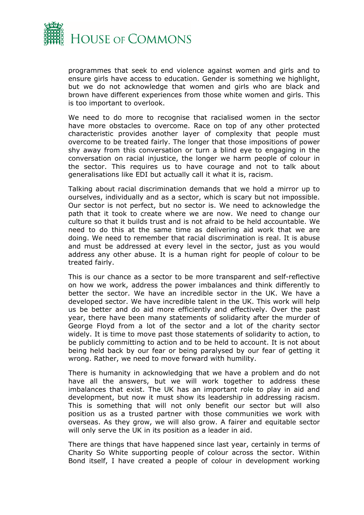

programmes that seek to end violence against women and girls and to ensure girls have access to education. Gender is something we highlight, but we do not acknowledge that women and girls who are black and brown have different experiences from those white women and girls. This is too important to overlook.

We need to do more to recognise that racialised women in the sector have more obstacles to overcome. Race on top of any other protected characteristic provides another layer of complexity that people must overcome to be treated fairly. The longer that those impositions of power shy away from this conversation or turn a blind eye to engaging in the conversation on racial injustice, the longer we harm people of colour in the sector. This requires us to have courage and not to talk about generalisations like EDI but actually call it what it is, racism.

Talking about racial discrimination demands that we hold a mirror up to ourselves, individually and as a sector, which is scary but not impossible. Our sector is not perfect, but no sector is. We need to acknowledge the path that it took to create where we are now. We need to change our culture so that it builds trust and is not afraid to be held accountable. We need to do this at the same time as delivering aid work that we are doing. We need to remember that racial discrimination is real. It is abuse and must be addressed at every level in the sector, just as you would address any other abuse. It is a human right for people of colour to be treated fairly.

This is our chance as a sector to be more transparent and self-reflective on how we work, address the power imbalances and think differently to better the sector. We have an incredible sector in the UK. We have a developed sector. We have incredible talent in the UK. This work will help us be better and do aid more efficiently and effectively. Over the past year, there have been many statements of solidarity after the murder of George Floyd from a lot of the sector and a lot of the charity sector widely. It is time to move past those statements of solidarity to action, to be publicly committing to action and to be held to account. It is not about being held back by our fear or being paralysed by our fear of getting it wrong. Rather, we need to move forward with humility.

There is humanity in acknowledging that we have a problem and do not have all the answers, but we will work together to address these imbalances that exist. The UK has an important role to play in aid and development, but now it must show its leadership in addressing racism. This is something that will not only benefit our sector but will also position us as a trusted partner with those communities we work with overseas. As they grow, we will also grow. A fairer and equitable sector will only serve the UK in its position as a leader in aid.

There are things that have happened since last year, certainly in terms of Charity So White supporting people of colour across the sector. Within Bond itself, I have created a people of colour in development working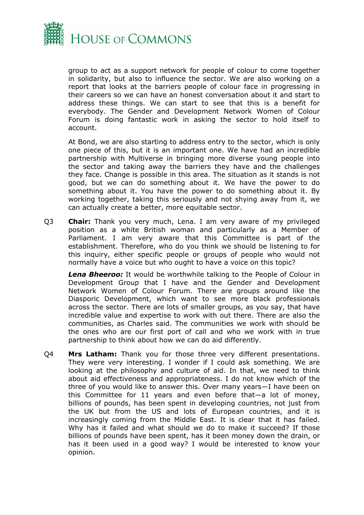

group to act as a support network for people of colour to come together in solidarity, but also to influence the sector. We are also working on a report that looks at the barriers people of colour face in progressing in their careers so we can have an honest conversation about it and start to address these things. We can start to see that this is a benefit for everybody. The Gender and Development Network Women of Colour Forum is doing fantastic work in asking the sector to hold itself to account.

At Bond, we are also starting to address entry to the sector, which is only one piece of this, but it is an important one. We have had an incredible partnership with Multiverse in bringing more diverse young people into the sector and taking away the barriers they have and the challenges they face. Change is possible in this area. The situation as it stands is not good, but we can do something about it. We have the power to do something about it. You have the power to do something about it. By working together, taking this seriously and not shying away from it, we can actually create a better, more equitable sector.

Q3 **Chair:** Thank you very much, Lena. I am very aware of my privileged position as a white British woman and particularly as a Member of Parliament. I am very aware that this Committee is part of the establishment. Therefore, who do you think we should be listening to for this inquiry, either specific people or groups of people who would not normally have a voice but who ought to have a voice on this topic?

*Lena Bheeroo:* It would be worthwhile talking to the People of Colour in Development Group that I have and the Gender and Development Network Women of Colour Forum. There are groups around like the Diasporic Development, which want to see more black professionals across the sector. There are lots of smaller groups, as you say, that have incredible value and expertise to work with out there. There are also the communities, as Charles said. The communities we work with should be the ones who are our first port of call and who we work with in true partnership to think about how we can do aid differently.

Q4 **Mrs Latham:** Thank you for those three very different presentations. They were very interesting. I wonder if I could ask something. We are looking at the philosophy and culture of aid. In that, we need to think about aid effectiveness and appropriateness. I do not know which of the three of you would like to answer this. Over many years—I have been on this Committee for 11 years and even before that—a lot of money, billions of pounds, has been spent in developing countries, not just from the UK but from the US and lots of European countries, and it is increasingly coming from the Middle East. It is clear that it has failed. Why has it failed and what should we do to make it succeed? If those billions of pounds have been spent, has it been money down the drain, or has it been used in a good way? I would be interested to know your opinion.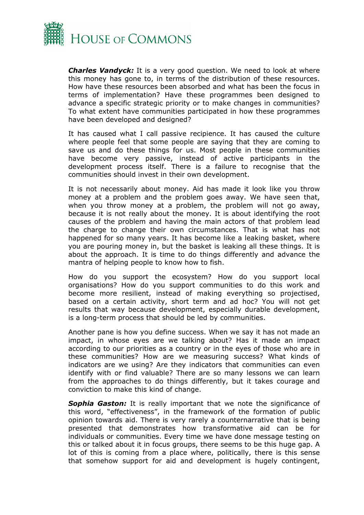

*Charles Vandyck:* It is a very good question. We need to look at where this money has gone to, in terms of the distribution of these resources. How have these resources been absorbed and what has been the focus in terms of implementation? Have these programmes been designed to advance a specific strategic priority or to make changes in communities? To what extent have communities participated in how these programmes have been developed and designed?

It has caused what I call passive recipience. It has caused the culture where people feel that some people are saying that they are coming to save us and do these things for us. Most people in these communities have become very passive, instead of active participants in the development process itself. There is a failure to recognise that the communities should invest in their own development.

It is not necessarily about money. Aid has made it look like you throw money at a problem and the problem goes away. We have seen that, when you throw money at a problem, the problem will not go away, because it is not really about the money. It is about identifying the root causes of the problem and having the main actors of that problem lead the charge to change their own circumstances. That is what has not happened for so many years. It has become like a leaking basket, where you are pouring money in, but the basket is leaking all these things. It is about the approach. It is time to do things differently and advance the mantra of helping people to know how to fish.

How do you support the ecosystem? How do you support local organisations? How do you support communities to do this work and become more resilient, instead of making everything so projectised, based on a certain activity, short term and ad hoc? You will not get results that way because development, especially durable development, is a long-term process that should be led by communities.

Another pane is how you define success. When we say it has not made an impact, in whose eyes are we talking about? Has it made an impact according to our priorities as a country or in the eyes of those who are in these communities? How are we measuring success? What kinds of indicators are we using? Are they indicators that communities can even identify with or find valuable? There are so many lessons we can learn from the approaches to do things differently, but it takes courage and conviction to make this kind of change.

**Sophia Gaston:** It is really important that we note the significance of this word, "effectiveness", in the framework of the formation of public opinion towards aid. There is very rarely a counternarrative that is being presented that demonstrates how transformative aid can be for individuals or communities. Every time we have done message testing on this or talked about it in focus groups, there seems to be this huge gap. A lot of this is coming from a place where, politically, there is this sense that somehow support for aid and development is hugely contingent,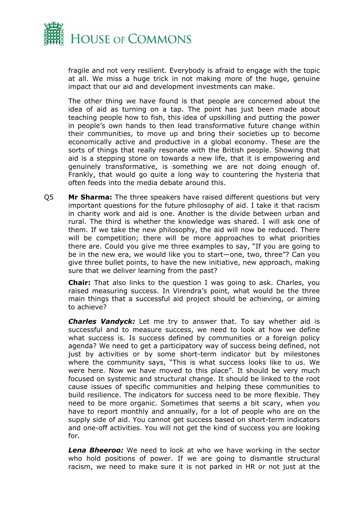

fragile and not very resilient. Everybody is afraid to engage with the topic at all. We miss a huge trick in not making more of the huge, genuine impact that our aid and development investments can make.

The other thing we have found is that people are concerned about the idea of aid as turning on a tap. The point has just been made about teaching people how to fish, this idea of upskilling and putting the power in people's own hands to then lead transformative future change within their communities, to move up and bring their societies up to become economically active and productive in a global economy. These are the sorts of things that really resonate with the British people. Showing that aid is a stepping stone on towards a new life, that it is empowering and genuinely transformative, is something we are not doing enough of. Frankly, that would go quite a long way to countering the hysteria that often feeds into the media debate around this.

Q5 **Mr Sharma:** The three speakers have raised different questions but very important questions for the future philosophy of aid. I take it that racism in charity work and aid is one. Another is the divide between urban and rural. The third is whether the knowledge was shared. I will ask one of them. If we take the new philosophy, the aid will now be reduced. There will be competition; there will be more approaches to what priorities there are. Could you give me three examples to say, "If you are going to be in the new era, we would like you to start—one, two, three"? Can you give three bullet points, to have the new initiative, new approach, making sure that we deliver learning from the past?

**Chair:** That also links to the question I was going to ask. Charles, you raised measuring success. In Virendra's point, what would be the three main things that a successful aid project should be achieving, or aiming to achieve?

*Charles Vandyck:* Let me try to answer that. To say whether aid is successful and to measure success, we need to look at how we define what success is. Is success defined by communities or a foreign policy agenda? We need to get a participatory way of success being defined, not just by activities or by some short-term indicator but by milestones where the community says, "This is what success looks like to us. We were here. Now we have moved to this place". It should be very much focused on systemic and structural change. It should be linked to the root cause issues of specific communities and helping these communities to build resilience. The indicators for success need to be more flexible. They need to be more organic. Sometimes that seems a bit scary, when you have to report monthly and annually, for a lot of people who are on the supply side of aid. You cannot get success based on short-term indicators and one-off activities. You will not get the kind of success you are looking for.

*Lena Bheeroo:* We need to look at who we have working in the sector who hold positions of power. If we are going to dismantle structural racism, we need to make sure it is not parked in HR or not just at the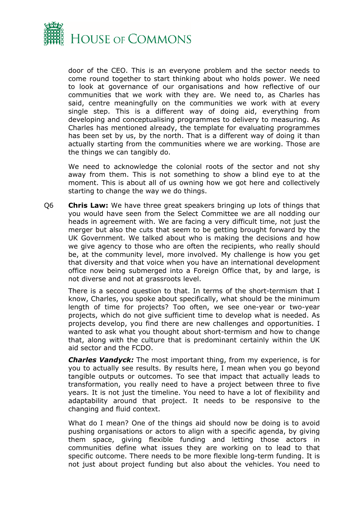

door of the CEO. This is an everyone problem and the sector needs to come round together to start thinking about who holds power. We need to look at governance of our organisations and how reflective of our communities that we work with they are. We need to, as Charles has said, centre meaningfully on the communities we work with at every single step. This is a different way of doing aid, everything from developing and conceptualising programmes to delivery to measuring. As Charles has mentioned already, the template for evaluating programmes has been set by us, by the north. That is a different way of doing it than actually starting from the communities where we are working. Those are the things we can tangibly do.

We need to acknowledge the colonial roots of the sector and not shy away from them. This is not something to show a blind eye to at the moment. This is about all of us owning how we got here and collectively starting to change the way we do things.

Q6 **Chris Law:** We have three great speakers bringing up lots of things that you would have seen from the Select Committee we are all nodding our heads in agreement with. We are facing a very difficult time, not just the merger but also the cuts that seem to be getting brought forward by the UK Government. We talked about who is making the decisions and how we give agency to those who are often the recipients, who really should be, at the community level, more involved. My challenge is how you get that diversity and that voice when you have an international development office now being submerged into a Foreign Office that, by and large, is not diverse and not at grassroots level.

There is a second question to that. In terms of the short-termism that I know, Charles, you spoke about specifically, what should be the minimum length of time for projects? Too often, we see one-year or two-year projects, which do not give sufficient time to develop what is needed. As projects develop, you find there are new challenges and opportunities. I wanted to ask what you thought about short-termism and how to change that, along with the culture that is predominant certainly within the UK aid sector and the FCDO.

*Charles Vandyck:* The most important thing, from my experience, is for you to actually see results. By results here, I mean when you go beyond tangible outputs or outcomes. To see that impact that actually leads to transformation, you really need to have a project between three to five years. It is not just the timeline. You need to have a lot of flexibility and adaptability around that project. It needs to be responsive to the changing and fluid context.

What do I mean? One of the things aid should now be doing is to avoid pushing organisations or actors to align with a specific agenda, by giving them space, giving flexible funding and letting those actors in communities define what issues they are working on to lead to that specific outcome. There needs to be more flexible long-term funding. It is not just about project funding but also about the vehicles. You need to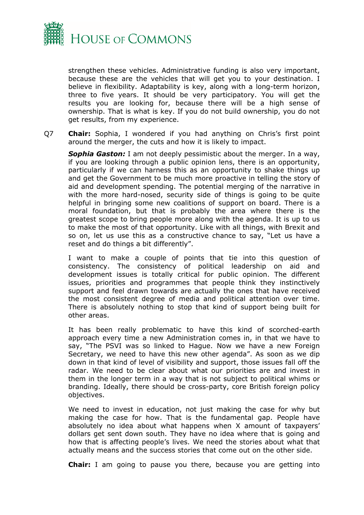

strengthen these vehicles. Administrative funding is also very important, because these are the vehicles that will get you to your destination. I believe in flexibility. Adaptability is key, along with a long-term horizon, three to five years. It should be very participatory. You will get the results you are looking for, because there will be a high sense of ownership. That is what is key. If you do not build ownership, you do not get results, from my experience.

Q7 **Chair:** Sophia, I wondered if you had anything on Chris's first point around the merger, the cuts and how it is likely to impact.

*Sophia Gaston:* I am not deeply pessimistic about the merger. In a way, if you are looking through a public opinion lens, there is an opportunity, particularly if we can harness this as an opportunity to shake things up and get the Government to be much more proactive in telling the story of aid and development spending. The potential merging of the narrative in with the more hard-nosed, security side of things is going to be quite helpful in bringing some new coalitions of support on board. There is a moral foundation, but that is probably the area where there is the greatest scope to bring people more along with the agenda. It is up to us to make the most of that opportunity. Like with all things, with Brexit and so on, let us use this as a constructive chance to say, "Let us have a reset and do things a bit differently".

I want to make a couple of points that tie into this question of consistency. The consistency of political leadership on aid and development issues is totally critical for public opinion. The different issues, priorities and programmes that people think they instinctively support and feel drawn towards are actually the ones that have received the most consistent degree of media and political attention over time. There is absolutely nothing to stop that kind of support being built for other areas.

It has been really problematic to have this kind of scorched-earth approach every time a new Administration comes in, in that we have to say, "The PSVI was so linked to Hague. Now we have a new Foreign Secretary, we need to have this new other agenda". As soon as we dip down in that kind of level of visibility and support, those issues fall off the radar. We need to be clear about what our priorities are and invest in them in the longer term in a way that is not subject to political whims or branding. Ideally, there should be cross-party, core British foreign policy objectives.

We need to invest in education, not just making the case for why but making the case for how. That is the fundamental gap. People have absolutely no idea about what happens when X amount of taxpayers' dollars get sent down south. They have no idea where that is going and how that is affecting people's lives. We need the stories about what that actually means and the success stories that come out on the other side.

**Chair:** I am going to pause you there, because you are getting into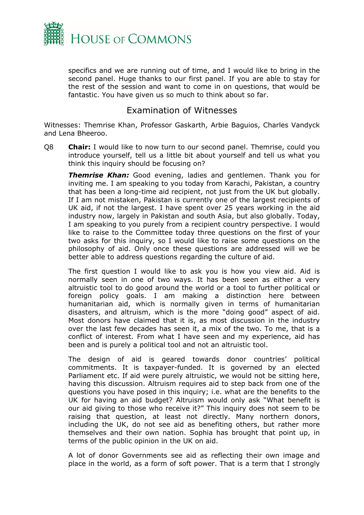

specifics and we are running out of time, and I would like to bring in the second panel. Huge thanks to our first panel. If you are able to stay for the rest of the session and want to come in on questions, that would be fantastic. You have given us so much to think about so far.

#### Examination of Witnesses

Witnesses: Themrise Khan, Professor Gaskarth, Arbie Baguios, Charles Vandyck and Lena Bheeroo.

Q8 **Chair:** I would like to now turn to our second panel. Themrise, could you introduce yourself, tell us a little bit about yourself and tell us what you think this inquiry should be focusing on?

*Themrise Khan:* Good evening, ladies and gentlemen. Thank you for inviting me. I am speaking to you today from Karachi, Pakistan, a country that has been a long-time aid recipient, not just from the UK but globally. If I am not mistaken, Pakistan is currently one of the largest recipients of UK aid, if not the largest. I have spent over 25 years working in the aid industry now, largely in Pakistan and south Asia, but also globally. Today, I am speaking to you purely from a recipient country perspective. I would like to raise to the Committee today three questions on the first of your two asks for this inquiry, so I would like to raise some questions on the philosophy of aid. Only once these questions are addressed will we be better able to address questions regarding the culture of aid.

The first question I would like to ask you is how you view aid. Aid is normally seen in one of two ways. It has been seen as either a very altruistic tool to do good around the world or a tool to further political or foreign policy goals. I am making a distinction here between humanitarian aid, which is normally given in terms of humanitarian disasters, and altruism, which is the more "doing good" aspect of aid. Most donors have claimed that it is, as most discussion in the industry over the last few decades has seen it, a mix of the two. To me, that is a conflict of interest. From what I have seen and my experience, aid has been and is purely a political tool and not an altruistic tool.

The design of aid is geared towards donor countries' political commitments. It is taxpayer-funded. It is governed by an elected Parliament etc. If aid were purely altruistic, we would not be sitting here, having this discussion. Altruism requires aid to step back from one of the questions you have posed in this inquiry; i.e. what are the benefits to the UK for having an aid budget? Altruism would only ask "What benefit is our aid giving to those who receive it?" This inquiry does not seem to be raising that question, at least not directly. Many northern donors, including the UK, do not see aid as benefiting others, but rather more themselves and their own nation. Sophia has brought that point up, in terms of the public opinion in the UK on aid.

A lot of donor Governments see aid as reflecting their own image and place in the world, as a form of soft power. That is a term that I strongly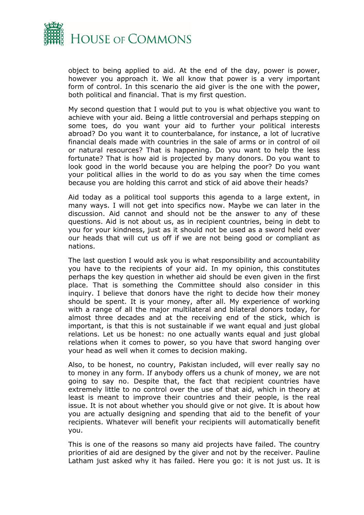

object to being applied to aid. At the end of the day, power is power, however you approach it. We all know that power is a very important form of control. In this scenario the aid giver is the one with the power, both political and financial. That is my first question.

My second question that I would put to you is what objective you want to achieve with your aid. Being a little controversial and perhaps stepping on some toes, do you want your aid to further your political interests abroad? Do you want it to counterbalance, for instance, a lot of lucrative financial deals made with countries in the sale of arms or in control of oil or natural resources? That is happening. Do you want to help the less fortunate? That is how aid is projected by many donors. Do you want to look good in the world because you are helping the poor? Do you want your political allies in the world to do as you say when the time comes because you are holding this carrot and stick of aid above their heads?

Aid today as a political tool supports this agenda to a large extent, in many ways. I will not get into specifics now. Maybe we can later in the discussion. Aid cannot and should not be the answer to any of these questions. Aid is not about us, as in recipient countries, being in debt to you for your kindness, just as it should not be used as a sword held over our heads that will cut us off if we are not being good or compliant as nations.

The last question I would ask you is what responsibility and accountability you have to the recipients of your aid. In my opinion, this constitutes perhaps the key question in whether aid should be even given in the first place. That is something the Committee should also consider in this inquiry. I believe that donors have the right to decide how their money should be spent. It is your money, after all. My experience of working with a range of all the major multilateral and bilateral donors today, for almost three decades and at the receiving end of the stick, which is important, is that this is not sustainable if we want equal and just global relations. Let us be honest: no one actually wants equal and just global relations when it comes to power, so you have that sword hanging over your head as well when it comes to decision making.

Also, to be honest, no country, Pakistan included, will ever really say no to money in any form. If anybody offers us a chunk of money, we are not going to say no. Despite that, the fact that recipient countries have extremely little to no control over the use of that aid, which in theory at least is meant to improve their countries and their people, is the real issue. It is not about whether you should give or not give. It is about how you are actually designing and spending that aid to the benefit of your recipients. Whatever will benefit your recipients will automatically benefit you.

This is one of the reasons so many aid projects have failed. The country priorities of aid are designed by the giver and not by the receiver. Pauline Latham just asked why it has failed. Here you go: it is not just us. It is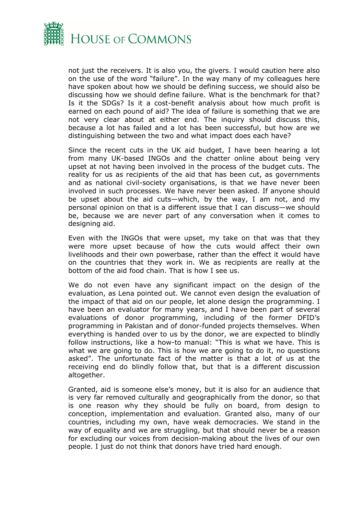

not just the receivers. It is also you, the givers. I would caution here also on the use of the word "failure". In the way many of my colleagues here have spoken about how we should be defining success, we should also be discussing how we should define failure. What is the benchmark for that? Is it the SDGs? Is it a cost-benefit analysis about how much profit is earned on each pound of aid? The idea of failure is something that we are not very clear about at either end. The inquiry should discuss this, because a lot has failed and a lot has been successful, but how are we distinguishing between the two and what impact does each have?

Since the recent cuts in the UK aid budget, I have been hearing a lot from many UK-based INGOs and the chatter online about being very upset at not having been involved in the process of the budget cuts. The reality for us as recipients of the aid that has been cut, as governments and as national civil-society organisations, is that we have never been involved in such processes. We have never been asked. If anyone should be upset about the aid cuts—which, by the way, I am not, and my personal opinion on that is a different issue that I can discuss—we should be, because we are never part of any conversation when it comes to designing aid.

Even with the INGOs that were upset, my take on that was that they were more upset because of how the cuts would affect their own livelihoods and their own powerbase, rather than the effect it would have on the countries that they work in. We as recipients are really at the bottom of the aid food chain. That is how I see us.

We do not even have any significant impact on the design of the evaluation, as Lena pointed out. We cannot even design the evaluation of the impact of that aid on our people, let alone design the programming. I have been an evaluator for many years, and I have been part of several evaluations of donor programming, including of the former DFID's programming in Pakistan and of donor-funded projects themselves. When everything is handed over to us by the donor, we are expected to blindly follow instructions, like a how-to manual: "This is what we have. This is what we are going to do. This is how we are going to do it, no questions asked". The unfortunate fact of the matter is that a lot of us at the receiving end do blindly follow that, but that is a different discussion altogether.

Granted, aid is someone else's money, but it is also for an audience that is very far removed culturally and geographically from the donor, so that is one reason why they should be fully on board, from design to conception, implementation and evaluation. Granted also, many of our countries, including my own, have weak democracies. We stand in the way of equality and we are struggling, but that should never be a reason for excluding our voices from decision-making about the lives of our own people. I just do not think that donors have tried hard enough.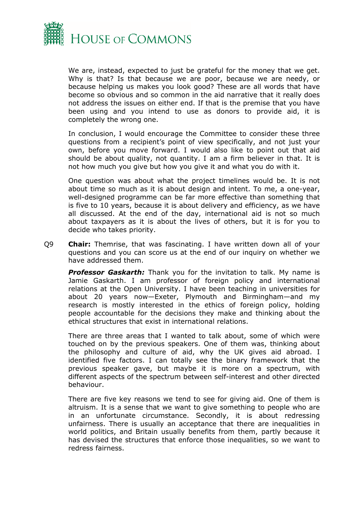

We are, instead, expected to just be grateful for the money that we get. Why is that? Is that because we are poor, because we are needy, or because helping us makes you look good? These are all words that have become so obvious and so common in the aid narrative that it really does not address the issues on either end. If that is the premise that you have been using and you intend to use as donors to provide aid, it is completely the wrong one.

In conclusion, I would encourage the Committee to consider these three questions from a recipient's point of view specifically, and not just your own, before you move forward. I would also like to point out that aid should be about quality, not quantity. I am a firm believer in that. It is not how much you give but how you give it and what you do with it.

One question was about what the project timelines would be. It is not about time so much as it is about design and intent. To me, a one-year, well-designed programme can be far more effective than something that is five to 10 years, because it is about delivery and efficiency, as we have all discussed. At the end of the day, international aid is not so much about taxpayers as it is about the lives of others, but it is for you to decide who takes priority.

Q9 **Chair:** Themrise, that was fascinating. I have written down all of your questions and you can score us at the end of our inquiry on whether we have addressed them.

**Professor Gaskarth:** Thank you for the invitation to talk. My name is Jamie Gaskarth. I am professor of foreign policy and international relations at the Open University. I have been teaching in universities for about 20 years now—Exeter, Plymouth and Birmingham—and my research is mostly interested in the ethics of foreign policy, holding people accountable for the decisions they make and thinking about the ethical structures that exist in international relations.

There are three areas that I wanted to talk about, some of which were touched on by the previous speakers. One of them was, thinking about the philosophy and culture of aid, why the UK gives aid abroad. I identified five factors. I can totally see the binary framework that the previous speaker gave, but maybe it is more on a spectrum, with different aspects of the spectrum between self-interest and other directed behaviour.

There are five key reasons we tend to see for giving aid. One of them is altruism. It is a sense that we want to give something to people who are in an unfortunate circumstance. Secondly, it is about redressing unfairness. There is usually an acceptance that there are inequalities in world politics, and Britain usually benefits from them, partly because it has devised the structures that enforce those inequalities, so we want to redress fairness.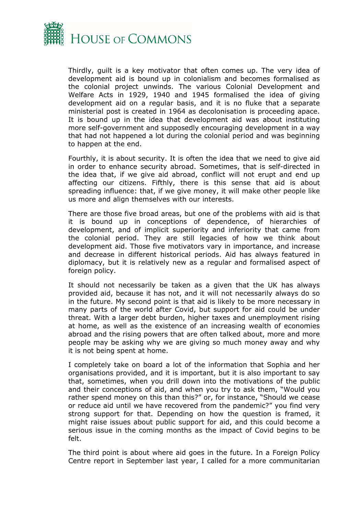

Thirdly, guilt is a key motivator that often comes up. The very idea of development aid is bound up in colonialism and becomes formalised as the colonial project unwinds. The various Colonial Development and Welfare Acts in 1929, 1940 and 1945 formalised the idea of giving development aid on a regular basis, and it is no fluke that a separate ministerial post is created in 1964 as decolonisation is proceeding apace. It is bound up in the idea that development aid was about instituting more self-government and supposedly encouraging development in a way that had not happened a lot during the colonial period and was beginning to happen at the end.

Fourthly, it is about security. It is often the idea that we need to give aid in order to enhance security abroad. Sometimes, that is self-directed in the idea that, if we give aid abroad, conflict will not erupt and end up affecting our citizens. Fifthly, there is this sense that aid is about spreading influence: that, if we give money, it will make other people like us more and align themselves with our interests.

There are those five broad areas, but one of the problems with aid is that it is bound up in conceptions of dependence, of hierarchies of development, and of implicit superiority and inferiority that came from the colonial period. They are still legacies of how we think about development aid. Those five motivators vary in importance, and increase and decrease in different historical periods. Aid has always featured in diplomacy, but it is relatively new as a regular and formalised aspect of foreign policy.

It should not necessarily be taken as a given that the UK has always provided aid, because it has not, and it will not necessarily always do so in the future. My second point is that aid is likely to be more necessary in many parts of the world after Covid, but support for aid could be under threat. With a larger debt burden, higher taxes and unemployment rising at home, as well as the existence of an increasing wealth of economies abroad and the rising powers that are often talked about, more and more people may be asking why we are giving so much money away and why it is not being spent at home.

I completely take on board a lot of the information that Sophia and her organisations provided, and it is important, but it is also important to say that, sometimes, when you drill down into the motivations of the public and their conceptions of aid, and when you try to ask them, "Would you rather spend money on this than this?" or, for instance, "Should we cease or reduce aid until we have recovered from the pandemic?" you find very strong support for that. Depending on how the question is framed, it might raise issues about public support for aid, and this could become a serious issue in the coming months as the impact of Covid begins to be felt.

The third point is about where aid goes in the future. In a Foreign Policy Centre report in September last year, I called for a more communitarian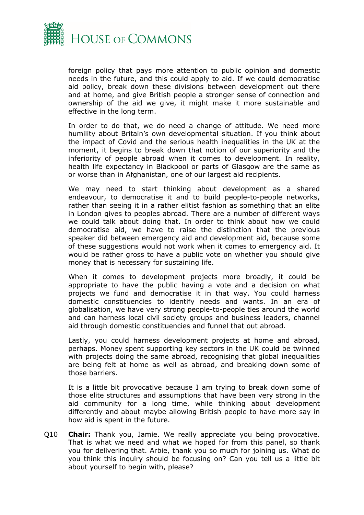

foreign policy that pays more attention to public opinion and domestic needs in the future, and this could apply to aid. If we could democratise aid policy, break down these divisions between development out there and at home, and give British people a stronger sense of connection and ownership of the aid we give, it might make it more sustainable and effective in the long term.

In order to do that, we do need a change of attitude. We need more humility about Britain's own developmental situation. If you think about the impact of Covid and the serious health inequalities in the UK at the moment, it begins to break down that notion of our superiority and the inferiority of people abroad when it comes to development. In reality, health life expectancy in Blackpool or parts of Glasgow are the same as or worse than in Afghanistan, one of our largest aid recipients.

We may need to start thinking about development as a shared endeavour, to democratise it and to build people-to-people networks, rather than seeing it in a rather elitist fashion as something that an elite in London gives to peoples abroad. There are a number of different ways we could talk about doing that. In order to think about how we could democratise aid, we have to raise the distinction that the previous speaker did between emergency aid and development aid, because some of these suggestions would not work when it comes to emergency aid. It would be rather gross to have a public vote on whether you should give money that is necessary for sustaining life.

When it comes to development projects more broadly, it could be appropriate to have the public having a vote and a decision on what projects we fund and democratise it in that way. You could harness domestic constituencies to identify needs and wants. In an era of globalisation, we have very strong people-to-people ties around the world and can harness local civil society groups and business leaders, channel aid through domestic constituencies and funnel that out abroad.

Lastly, you could harness development projects at home and abroad, perhaps. Money spent supporting key sectors in the UK could be twinned with projects doing the same abroad, recognising that global inequalities are being felt at home as well as abroad, and breaking down some of those barriers.

It is a little bit provocative because I am trying to break down some of those elite structures and assumptions that have been very strong in the aid community for a long time, while thinking about development differently and about maybe allowing British people to have more say in how aid is spent in the future.

Q10 **Chair:** Thank you, Jamie. We really appreciate you being provocative. That is what we need and what we hoped for from this panel, so thank you for delivering that. Arbie, thank you so much for joining us. What do you think this inquiry should be focusing on? Can you tell us a little bit about yourself to begin with, please?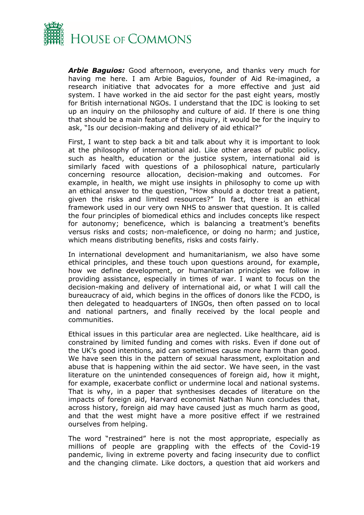

*Arbie Baguios:* Good afternoon, everyone, and thanks very much for having me here. I am Arbie Baguios, founder of Aid Re-imagined, a research initiative that advocates for a more effective and just aid system. I have worked in the aid sector for the past eight years, mostly for British international NGOs. I understand that the IDC is looking to set up an inquiry on the philosophy and culture of aid. If there is one thing that should be a main feature of this inquiry, it would be for the inquiry to ask, "Is our decision-making and delivery of aid ethical?"

First, I want to step back a bit and talk about why it is important to look at the philosophy of international aid. Like other areas of public policy, such as health, education or the justice system, international aid is similarly faced with questions of a philosophical nature, particularly concerning resource allocation, decision-making and outcomes. For example, in health, we might use insights in philosophy to come up with an ethical answer to the question, "How should a doctor treat a patient, given the risks and limited resources?" In fact, there is an ethical framework used in our very own NHS to answer that question. It is called the four principles of biomedical ethics and includes concepts like respect for autonomy; beneficence, which is balancing a treatment's benefits versus risks and costs; non-maleficence, or doing no harm; and justice, which means distributing benefits, risks and costs fairly.

In international development and humanitarianism, we also have some ethical principles, and these touch upon questions around, for example, how we define development, or humanitarian principles we follow in providing assistance, especially in times of war. I want to focus on the decision-making and delivery of international aid, or what I will call the bureaucracy of aid, which begins in the offices of donors like the FCDO, is then delegated to headquarters of INGOs, then often passed on to local and national partners, and finally received by the local people and communities.

Ethical issues in this particular area are neglected. Like healthcare, aid is constrained by limited funding and comes with risks. Even if done out of the UK's good intentions, aid can sometimes cause more harm than good. We have seen this in the pattern of sexual harassment, exploitation and abuse that is happening within the aid sector. We have seen, in the vast literature on the unintended consequences of foreign aid, how it might, for example, exacerbate conflict or undermine local and national systems. That is why, in a paper that synthesises decades of literature on the impacts of foreign aid, Harvard economist Nathan Nunn concludes that, across history, foreign aid may have caused just as much harm as good, and that the west might have a more positive effect if we restrained ourselves from helping.

The word "restrained" here is not the most appropriate, especially as millions of people are grappling with the effects of the Covid-19 pandemic, living in extreme poverty and facing insecurity due to conflict and the changing climate. Like doctors, a question that aid workers and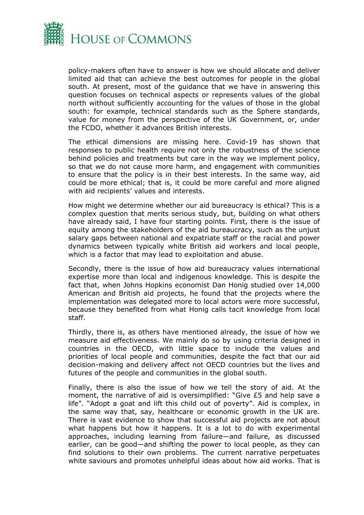

policy-makers often have to answer is how we should allocate and deliver limited aid that can achieve the best outcomes for people in the global south. At present, most of the guidance that we have in answering this question focuses on technical aspects or represents values of the global north without sufficiently accounting for the values of those in the global south: for example, technical standards such as the Sphere standards, value for money from the perspective of the UK Government, or, under the FCDO, whether it advances British interests.

The ethical dimensions are missing here. Covid-19 has shown that responses to public health require not only the robustness of the science behind policies and treatments but care in the way we implement policy, so that we do not cause more harm, and engagement with communities to ensure that the policy is in their best interests. In the same way, aid could be more ethical; that is, it could be more careful and more aligned with aid recipients' values and interests.

How might we determine whether our aid bureaucracy is ethical? This is a complex question that merits serious study, but, building on what others have already said, I have four starting points. First, there is the issue of equity among the stakeholders of the aid bureaucracy, such as the unjust salary gaps between national and expatriate staff or the racial and power dynamics between typically white British aid workers and local people, which is a factor that may lead to exploitation and abuse.

Secondly, there is the issue of how aid bureaucracy values international expertise more than local and indigenous knowledge. This is despite the fact that, when Johns Hopkins economist Dan Honig studied over 14,000 American and British aid projects, he found that the projects where the implementation was delegated more to local actors were more successful, because they benefited from what Honig calls tacit knowledge from local staff.

Thirdly, there is, as others have mentioned already, the issue of how we measure aid effectiveness. We mainly do so by using criteria designed in countries in the OECD, with little space to include the values and priorities of local people and communities, despite the fact that our aid decision-making and delivery affect not OECD countries but the lives and futures of the people and communities in the global south.

Finally, there is also the issue of how we tell the story of aid. At the moment, the narrative of aid is oversimplified: "Give £5 and help save a life". "Adopt a goat and lift this child out of poverty". Aid is complex, in the same way that, say, healthcare or economic growth in the UK are. There is vast evidence to show that successful aid projects are not about what happens but how it happens. It is a lot to do with experimental approaches, including learning from failure—and failure, as discussed earlier, can be good—and shifting the power to local people, as they can find solutions to their own problems. The current narrative perpetuates white saviours and promotes unhelpful ideas about how aid works. That is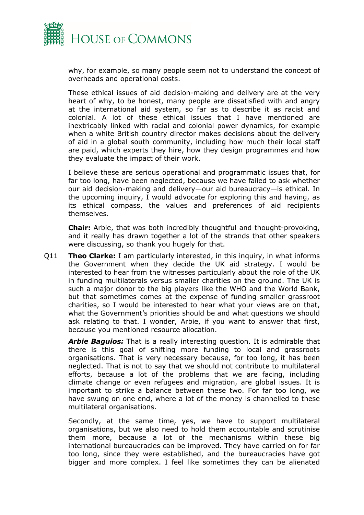

why, for example, so many people seem not to understand the concept of overheads and operational costs.

These ethical issues of aid decision-making and delivery are at the very heart of why, to be honest, many people are dissatisfied with and angry at the international aid system, so far as to describe it as racist and colonial. A lot of these ethical issues that I have mentioned are inextricably linked with racial and colonial power dynamics, for example when a white British country director makes decisions about the delivery of aid in a global south community, including how much their local staff are paid, which experts they hire, how they design programmes and how they evaluate the impact of their work.

I believe these are serious operational and programmatic issues that, for far too long, have been neglected, because we have failed to ask whether our aid decision-making and delivery—our aid bureaucracy—is ethical. In the upcoming inquiry, I would advocate for exploring this and having, as its ethical compass, the values and preferences of aid recipients themselves.

**Chair:** Arbie, that was both incredibly thoughtful and thought-provoking, and it really has drawn together a lot of the strands that other speakers were discussing, so thank you hugely for that.

Q11 **Theo Clarke:** I am particularly interested, in this inquiry, in what informs the Government when they decide the UK aid strategy. I would be interested to hear from the witnesses particularly about the role of the UK in funding multilaterals versus smaller charities on the ground. The UK is such a major donor to the big players like the WHO and the World Bank, but that sometimes comes at the expense of funding smaller grassroot charities, so I would be interested to hear what your views are on that, what the Government's priorities should be and what questions we should ask relating to that. I wonder, Arbie, if you want to answer that first, because you mentioned resource allocation.

*Arbie Baguios:* That is a really interesting question. It is admirable that there is this goal of shifting more funding to local and grassroots organisations. That is very necessary because, for too long, it has been neglected. That is not to say that we should not contribute to multilateral efforts, because a lot of the problems that we are facing, including climate change or even refugees and migration, are global issues. It is important to strike a balance between these two. For far too long, we have swung on one end, where a lot of the money is channelled to these multilateral organisations.

Secondly, at the same time, yes, we have to support multilateral organisations, but we also need to hold them accountable and scrutinise them more, because a lot of the mechanisms within these big international bureaucracies can be improved. They have carried on for far too long, since they were established, and the bureaucracies have got bigger and more complex. I feel like sometimes they can be alienated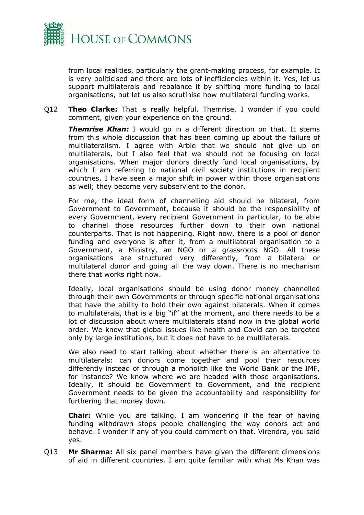

from local realities, particularly the grant-making process, for example. It is very politicised and there are lots of inefficiencies within it. Yes, let us support multilaterals and rebalance it by shifting more funding to local organisations, but let us also scrutinise how multilateral funding works.

Q12 **Theo Clarke:** That is really helpful. Themrise, I wonder if you could comment, given your experience on the ground.

*Themrise Khan:* I would go in a different direction on that. It stems from this whole discussion that has been coming up about the failure of multilateralism. I agree with Arbie that we should not give up on multilaterals, but I also feel that we should not be focusing on local organisations. When major donors directly fund local organisations, by which I am referring to national civil society institutions in recipient countries, I have seen a major shift in power within those organisations as well; they become very subservient to the donor.

For me, the ideal form of channelling aid should be bilateral, from Government to Government, because it should be the responsibility of every Government, every recipient Government in particular, to be able to channel those resources further down to their own national counterparts. That is not happening. Right now, there is a pool of donor funding and everyone is after it, from a multilateral organisation to a Government, a Ministry, an NGO or a grassroots NGO. All these organisations are structured very differently, from a bilateral or multilateral donor and going all the way down. There is no mechanism there that works right now.

Ideally, local organisations should be using donor money channelled through their own Governments or through specific national organisations that have the ability to hold their own against bilaterals. When it comes to multilaterals, that is a big "if" at the moment, and there needs to be a lot of discussion about where multilaterals stand now in the global world order. We know that global issues like health and Covid can be targeted only by large institutions, but it does not have to be multilaterals.

We also need to start talking about whether there is an alternative to multilaterals: can donors come together and pool their resources differently instead of through a monolith like the World Bank or the IMF, for instance? We know where we are headed with those organisations. Ideally, it should be Government to Government, and the recipient Government needs to be given the accountability and responsibility for furthering that money down.

**Chair:** While you are talking, I am wondering if the fear of having funding withdrawn stops people challenging the way donors act and behave. I wonder if any of you could comment on that. Virendra, you said yes.

Q13 **Mr Sharma:** All six panel members have given the different dimensions of aid in different countries. I am quite familiar with what Ms Khan was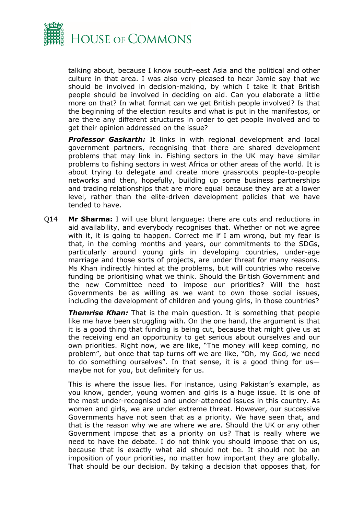

talking about, because I know south-east Asia and the political and other culture in that area. I was also very pleased to hear Jamie say that we should be involved in decision-making, by which I take it that British people should be involved in deciding on aid. Can you elaborate a little more on that? In what format can we get British people involved? Is that the beginning of the election results and what is put in the manifestos, or are there any different structures in order to get people involved and to get their opinion addressed on the issue?

**Professor Gaskarth:** It links in with regional development and local government partners, recognising that there are shared development problems that may link in. Fishing sectors in the UK may have similar problems to fishing sectors in west Africa or other areas of the world. It is about trying to delegate and create more grassroots people-to-people networks and then, hopefully, building up some business partnerships and trading relationships that are more equal because they are at a lower level, rather than the elite-driven development policies that we have tended to have.

Q14 **Mr Sharma:** I will use blunt language: there are cuts and reductions in aid availability, and everybody recognises that. Whether or not we agree with it, it is going to happen. Correct me if I am wrong, but my fear is that, in the coming months and years, our commitments to the SDGs, particularly around young girls in developing countries, under-age marriage and those sorts of projects, are under threat for many reasons. Ms Khan indirectly hinted at the problems, but will countries who receive funding be prioritising what we think. Should the British Government and the new Committee need to impose our priorities? Will the host Governments be as willing as we want to own those social issues, including the development of children and young girls, in those countries?

**Themrise Khan:** That is the main question. It is something that people like me have been struggling with. On the one hand, the argument is that it is a good thing that funding is being cut, because that might give us at the receiving end an opportunity to get serious about ourselves and our own priorities. Right now, we are like, "The money will keep coming, no problem", but once that tap turns off we are like, "Oh, my God, we need to do something ourselves". In that sense, it is a good thing for us maybe not for you, but definitely for us.

This is where the issue lies. For instance, using Pakistan's example, as you know, gender, young women and girls is a huge issue. It is one of the most under-recognised and under-attended issues in this country. As women and girls, we are under extreme threat. However, our successive Governments have not seen that as a priority. We have seen that, and that is the reason why we are where we are. Should the UK or any other Government impose that as a priority on us? That is really where we need to have the debate. I do not think you should impose that on us, because that is exactly what aid should not be. It should not be an imposition of your priorities, no matter how important they are globally. That should be our decision. By taking a decision that opposes that, for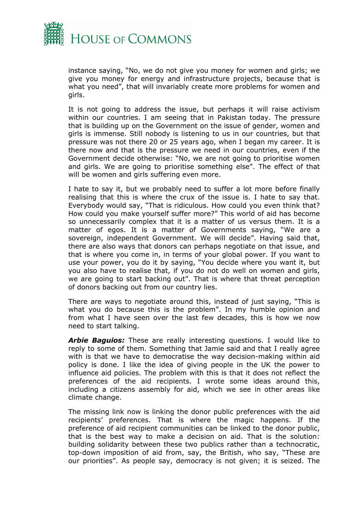

instance saying, "No, we do not give you money for women and girls; we give you money for energy and infrastructure projects, because that is what you need", that will invariably create more problems for women and girls.

It is not going to address the issue, but perhaps it will raise activism within our countries. I am seeing that in Pakistan today. The pressure that is building up on the Government on the issue of gender, women and girls is immense. Still nobody is listening to us in our countries, but that pressure was not there 20 or 25 years ago, when I began my career. It is there now and that is the pressure we need in our countries, even if the Government decide otherwise: "No, we are not going to prioritise women and girls. We are going to prioritise something else". The effect of that will be women and girls suffering even more.

I hate to say it, but we probably need to suffer a lot more before finally realising that this is where the crux of the issue is. I hate to say that. Everybody would say, "That is ridiculous. How could you even think that? How could you make yourself suffer more?" This world of aid has become so unnecessarily complex that it is a matter of us versus them. It is a matter of egos. It is a matter of Governments saying, "We are a sovereign, independent Government. We will decide". Having said that, there are also ways that donors can perhaps negotiate on that issue, and that is where you come in, in terms of your global power. If you want to use your power, you do it by saying, "You decide where you want it, but you also have to realise that, if you do not do well on women and girls, we are going to start backing out". That is where that threat perception of donors backing out from our country lies.

There are ways to negotiate around this, instead of just saying, "This is what you do because this is the problem". In my humble opinion and from what I have seen over the last few decades, this is how we now need to start talking.

*Arbie Baguios:* These are really interesting questions. I would like to reply to some of them. Something that Jamie said and that I really agree with is that we have to democratise the way decision-making within aid policy is done. I like the idea of giving people in the UK the power to influence aid policies. The problem with this is that it does not reflect the preferences of the aid recipients. I wrote some ideas around this, including a citizens assembly for aid, which we see in other areas like climate change.

The missing link now is linking the donor public preferences with the aid recipients' preferences. That is where the magic happens. If the preference of aid recipient communities can be linked to the donor public, that is the best way to make a decision on aid. That is the solution: building solidarity between these two publics rather than a technocratic, top-down imposition of aid from, say, the British, who say, "These are our priorities". As people say, democracy is not given; it is seized. The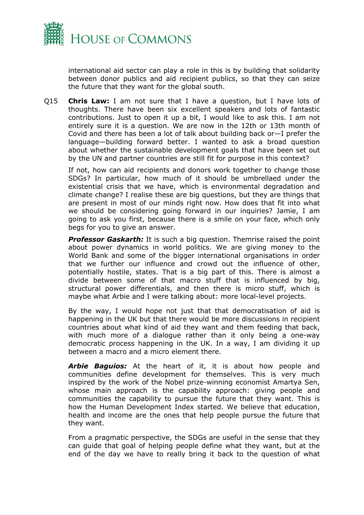

international aid sector can play a role in this is by building that solidarity between donor publics and aid recipient publics, so that they can seize the future that they want for the global south.

Q15 **Chris Law:** I am not sure that I have a question, but I have lots of thoughts. There have been six excellent speakers and lots of fantastic contributions. Just to open it up a bit, I would like to ask this. I am not entirely sure it is a question. We are now in the 12th or 13th month of Covid and there has been a lot of talk about building back or—I prefer the language—building forward better. I wanted to ask a broad question about whether the sustainable development goals that have been set out by the UN and partner countries are still fit for purpose in this context?

If not, how can aid recipients and donors work together to change those SDGs? In particular, how much of it should be umbrellaed under the existential crisis that we have, which is environmental degradation and climate change? I realise these are big questions, but they are things that are present in most of our minds right now. How does that fit into what we should be considering going forward in our inquiries? Jamie, I am going to ask you first, because there is a smile on your face, which only begs for you to give an answer.

**Professor Gaskarth:** It is such a big question. Themrise raised the point about power dynamics in world politics. We are giving money to the World Bank and some of the bigger international organisations in order that we further our influence and crowd out the influence of other, potentially hostile, states. That is a big part of this. There is almost a divide between some of that macro stuff that is influenced by big, structural power differentials, and then there is micro stuff, which is maybe what Arbie and I were talking about: more local-level projects.

By the way, I would hope not just that that democratisation of aid is happening in the UK but that there would be more discussions in recipient countries about what kind of aid they want and them feeding that back, with much more of a dialogue rather than it only being a one-way democratic process happening in the UK. In a way, I am dividing it up between a macro and a micro element there.

*Arbie Baguios:* At the heart of it, it is about how people and communities define development for themselves. This is very much inspired by the work of the Nobel prize-winning economist Amartya Sen, whose main approach is the capability approach: giving people and communities the capability to pursue the future that they want. This is how the Human Development Index started. We believe that education, health and income are the ones that help people pursue the future that they want.

From a pragmatic perspective, the SDGs are useful in the sense that they can guide that goal of helping people define what they want, but at the end of the day we have to really bring it back to the question of what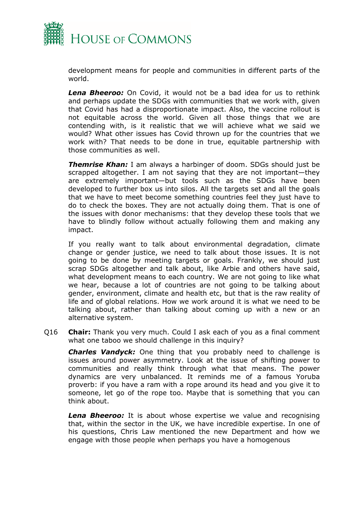

development means for people and communities in different parts of the world.

*Lena Bheeroo:* On Covid, it would not be a bad idea for us to rethink and perhaps update the SDGs with communities that we work with, given that Covid has had a disproportionate impact. Also, the vaccine rollout is not equitable across the world. Given all those things that we are contending with, is it realistic that we will achieve what we said we would? What other issues has Covid thrown up for the countries that we work with? That needs to be done in true, equitable partnership with those communities as well.

*Themrise Khan:* I am always a harbinger of doom. SDGs should just be scrapped altogether. I am not saying that they are not important—they are extremely important—but tools such as the SDGs have been developed to further box us into silos. All the targets set and all the goals that we have to meet become something countries feel they just have to do to check the boxes. They are not actually doing them. That is one of the issues with donor mechanisms: that they develop these tools that we have to blindly follow without actually following them and making any impact.

If you really want to talk about environmental degradation, climate change or gender justice, we need to talk about those issues. It is not going to be done by meeting targets or goals. Frankly, we should just scrap SDGs altogether and talk about, like Arbie and others have said, what development means to each country. We are not going to like what we hear, because a lot of countries are not going to be talking about gender, environment, climate and health etc, but that is the raw reality of life and of global relations. How we work around it is what we need to be talking about, rather than talking about coming up with a new or an alternative system.

Q16 **Chair:** Thank you very much. Could I ask each of you as a final comment what one taboo we should challenge in this inquiry?

*Charles Vandyck:* One thing that you probably need to challenge is issues around power asymmetry. Look at the issue of shifting power to communities and really think through what that means. The power dynamics are very unbalanced. It reminds me of a famous Yoruba proverb: if you have a ram with a rope around its head and you give it to someone, let go of the rope too. Maybe that is something that you can think about.

*Lena Bheeroo:* It is about whose expertise we value and recognising that, within the sector in the UK, we have incredible expertise. In one of his questions, Chris Law mentioned the new Department and how we engage with those people when perhaps you have a homogenous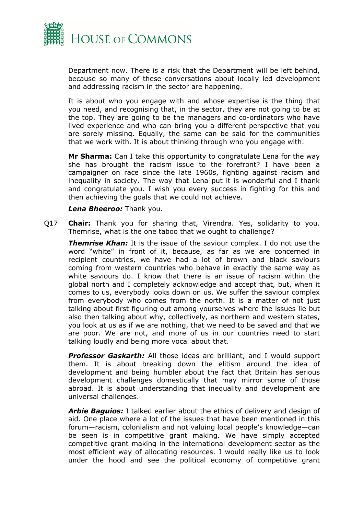

Department now. There is a risk that the Department will be left behind, because so many of these conversations about locally led development and addressing racism in the sector are happening.

It is about who you engage with and whose expertise is the thing that you need, and recognising that, in the sector, they are not going to be at the top. They are going to be the managers and co-ordinators who have lived experience and who can bring you a different perspective that you are sorely missing. Equally, the same can be said for the communities that we work with. It is about thinking through who you engage with.

**Mr Sharma:** Can I take this opportunity to congratulate Lena for the way she has brought the racism issue to the forefront? I have been a campaigner on race since the late 1960s, fighting against racism and inequality in society. The way that Lena put it is wonderful and I thank and congratulate you. I wish you every success in fighting for this and then achieving the goals that we could not achieve.

#### *Lena Bheeroo:* Thank you.

Q17 **Chair:** Thank you for sharing that, Virendra. Yes, solidarity to you. Themrise, what is the one taboo that we ought to challenge?

*Themrise Khan:* It is the issue of the saviour complex. I do not use the word "white" in front of it, because, as far as we are concerned in recipient countries, we have had a lot of brown and black saviours coming from western countries who behave in exactly the same way as white saviours do. I know that there is an issue of racism within the global north and I completely acknowledge and accept that, but, when it comes to us, everybody looks down on us. We suffer the saviour complex from everybody who comes from the north. It is a matter of not just talking about first figuring out among yourselves where the issues lie but also then talking about why, collectively, as northern and western states, you look at us as if we are nothing, that we need to be saved and that we are poor. We are not, and more of us in our countries need to start talking loudly and being more vocal about that.

*Professor Gaskarth:* All those ideas are brilliant, and I would support them. It is about breaking down the elitism around the idea of development and being humbler about the fact that Britain has serious development challenges domestically that may mirror some of those abroad. It is about understanding that inequality and development are universal challenges.

*Arbie Baguios:* I talked earlier about the ethics of delivery and design of aid. One place where a lot of the issues that have been mentioned in this forum—racism, colonialism and not valuing local people's knowledge—can be seen is in competitive grant making. We have simply accepted competitive grant making in the international development sector as the most efficient way of allocating resources. I would really like us to look under the hood and see the political economy of competitive grant